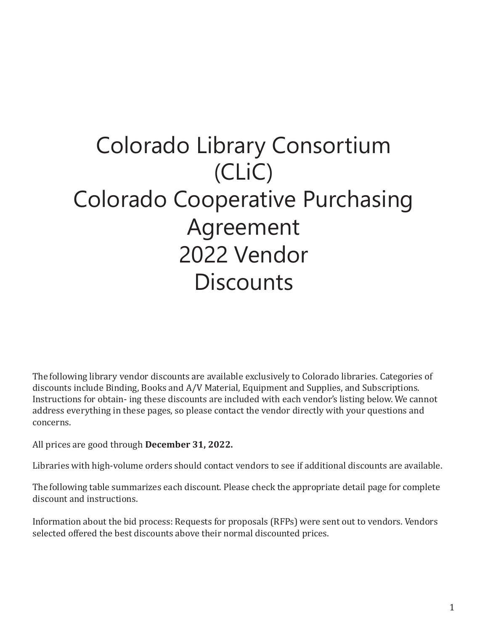# Colorado Library Consortium (CLiC) Colorado Cooperative Purchasing Agreement 2022 Vendor **Discounts**

The following library vendor discounts are available exclusively to Colorado libraries. Categories of discounts include Binding, Books and A/V Material, Equipment and Supplies, and Subscriptions. Instructions for obtain- ing these discounts are included with each vendor's listing below. We cannot address everything in these pages, so please contact the vendor directly with your questions and concerns.

All prices are good through **December 31, 2022.**

Libraries with high-volume orders should contact vendors to see if additional discounts are available.

The following table summarizes each discount. Please check the appropriate detail page for complete discount and instructions.

Information about the bid process: Requests for proposals (RFPs) were sent out to vendors. Vendors selected offered the best discounts above their normal discounted prices.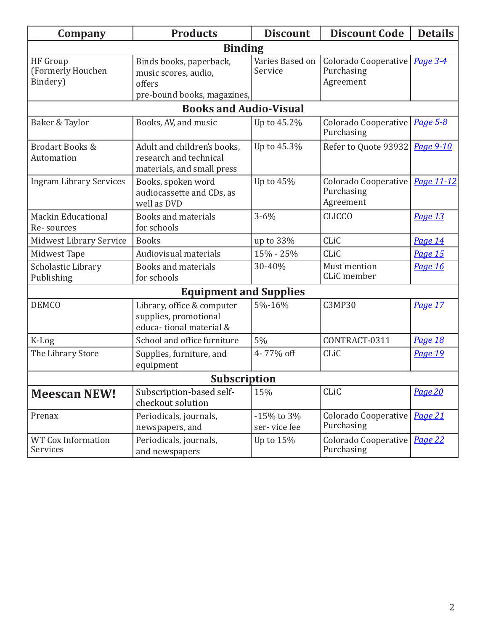| Company                                   | <b>Products</b>                                                                          | <b>Discount</b>            | <b>Discount Code</b>                                   | <b>Details</b> |
|-------------------------------------------|------------------------------------------------------------------------------------------|----------------------------|--------------------------------------------------------|----------------|
|                                           | <b>Binding</b>                                                                           |                            |                                                        |                |
| HF Group<br>(Formerly Houchen<br>Bindery) | Binds books, paperback,<br>music scores, audio,<br>offers<br>pre-bound books, magazines, | Varies Based on<br>Service | <b>Colorado Cooperative</b><br>Purchasing<br>Agreement | Page 3-4       |
|                                           | <b>Books and Audio-Visual</b>                                                            |                            |                                                        |                |
| Baker & Taylor                            | Books, AV, and music                                                                     | Up to 45.2%                | Colorado Cooperative<br>Purchasing                     | Page 5-8       |
| <b>Brodart Books &amp;</b><br>Automation  | Adult and children's books,<br>research and technical<br>materials, and small press      | Up to 45.3%                | Refer to Quote 93932                                   | Page 9-10      |
| <b>Ingram Library Services</b>            | Books, spoken word<br>audiocassette and CDs, as<br>well as DVD                           | Up to 45%                  | Colorado Cooperative<br>Purchasing<br>Agreement        | Page 11-12     |
| <b>Mackin Educational</b><br>Re-sources   | <b>Books and materials</b><br>for schools                                                | $3 - 6\%$                  | <b>CLICCO</b>                                          | Page 13        |
| Midwest Library Service                   | <b>Books</b>                                                                             | up to 33%                  | CLiC                                                   | Page 14        |
| Midwest Tape                              | Audiovisual materials                                                                    | 15% - 25%                  | CLiC                                                   | <b>Page 15</b> |
| Scholastic Library<br>Publishing          | <b>Books and materials</b><br>for schools                                                | 30-40%                     | Must mention<br>CLiC member                            | Page 16        |
|                                           | <b>Equipment and Supplies</b>                                                            |                            |                                                        |                |
| <b>DEMCO</b>                              | Library, office & computer<br>supplies, promotional<br>educa-tional material &           | 5%-16%                     | <b>C3MP30</b>                                          | Page 17        |
| K-Log                                     | School and office furniture                                                              | 5%                         | CONTRACT-0311                                          | Page 18        |
| The Library Store                         | Supplies, furniture, and<br>equipment                                                    | 4-77% off                  | CLiC                                                   | Page 19        |
| <b>Subscription</b>                       |                                                                                          |                            |                                                        |                |
| <b>Meescan NEW!</b>                       | Subscription-based self-<br>checkout solution                                            | 15%                        | CLiC                                                   | Page 20        |
| Prenax                                    | Periodicals, journals,<br>newspapers, and                                                | -15% to 3%<br>ser-vice fee | Colorado Cooperative<br>Purchasing                     | <b>Page 21</b> |
| <b>WT Cox Information</b><br>Services     | Periodicals, journals,<br>and newspapers                                                 | Up to 15%                  | Colorado Cooperative<br>Purchasing                     | Page 22        |

A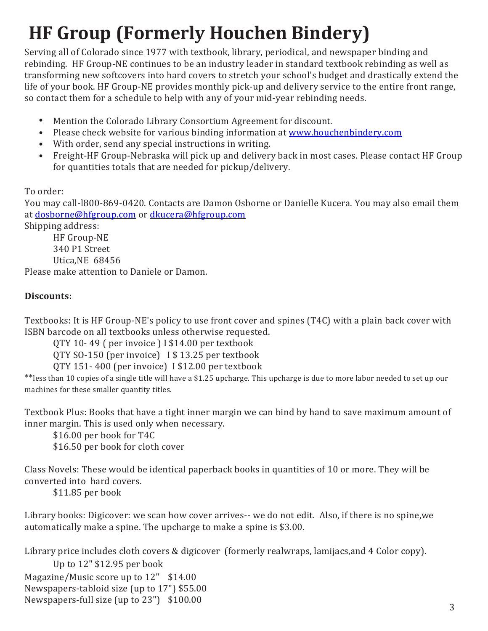## <span id="page-2-0"></span>**HF Group (Formerly Houchen Bindery)**

Serving all of Colorado since 1977 with textbook, library, periodical, and newspaper binding and rebinding. HF Group-NE continues to be an industry leader in standard textbook rebinding as well as transforming new softcovers into hard covers to stretch your school's budget and drastically extend the life of your book. HF Group-NE provides monthly pick-up and delivery service to the entire front range, so contact them for a schedule to help with any of your mid-year rebinding needs.

- Mention the Colorado Library Consortium Agreement for discount.
- Please check website for various binding information at [www.houchenbindery.com](http://www.houchenbindery.com/)
- With order, send any special instructions in writing.
- Freight-HF Group-Nebraska will pick up and delivery back in most cases. Please contact HF Group for quantities totals that are needed for pickup/delivery.

### To order:

You may call-l800-869-0420. Contacts are Damon Osborne or Danielle Kucera. You may also email them at [dosborne@hfgroup.com](mailto:dosborne@hfgroup.com) or [dkucera@hfgroup.com](mailto:dkucera@hfgroup.com)

Shipping address:

HF Group-NE 340 P1 Street Utica,NE 68456 Please make attention to Daniele or Damon.

### **Discounts:**

Textbooks: It is HF Group-NE's policy to use front cover and spines (T4C) with a plain back cover with ISBN barcode on all textbooks unless otherwise requested.

QTY 10- 49 ( per invoice ) I \$14.00 per textbook

QTY SO-150 (per invoice) I \$ 13.25 per textbook

QTY 151- 400 (per invoice) I \$12.00 per textbook

\*\*less than 10 copies of a single title will have a \$1.25 upcharge. This upcharge is due to more labor needed to set up our machines for these smaller quantity titles.

Textbook Plus: Books that have a tight inner margin we can bind by hand to save maximum amount of inner margin. This is used only when necessary.

\$16.00 per book for T4C \$16.50 per book for cloth cover

Class Novels: These would be identical paperback books in quantities of 10 or more. They will be converted into hard covers.

\$11.85 per book

Library books: Digicover: we scan how cover arrives-- we do not edit. Also, if there is no spine,we automatically make a spine. The upcharge to make a spine is \$3.00.

Library price includes cloth covers & digicover (formerly realwraps, lamijacs,and 4 Color copy). Up to 12" \$12.95 per book

Magazine/Music score up to 12" \$14.00 Newspapers-tabloid size (up to 17"} \$55.00 Newspapers-full size (up to 23") \$100.00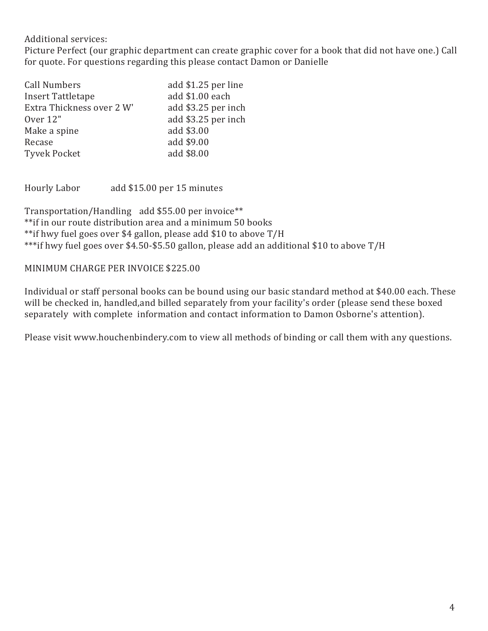### Additional services:

Picture Perfect (our graphic department can create graphic cover for a book that did not have one.) Call for quote. For questions regarding this please contact Damon or Danielle

| add \$1.25 per line |
|---------------------|
| add \$1.00 each     |
| add \$3.25 per inch |
| add \$3.25 per inch |
|                     |
|                     |
|                     |
|                     |

Hourly Labor add \$15.00 per 15 minutes

Transportation/Handling add \$55.00 per invoice\*\* \*\*if in our route distribution area and a minimum 50 books \*\*if hwy fuel goes over \$4 gallon, please add \$10 to above T/H \*\*\*if hwy fuel goes over \$4.50-\$5.50 gallon, please add an additional \$10 to above T/H

### MINIMUM CHARGE PER INVOICE \$225.00

Individual or staff personal books can be bound using our basic standard method at \$40.00 each. These will be checked in, handled,and billed separately from your facility's order (please send these boxed separately with complete information and contact information to Damon Osborne's attention).

Please visit www.houchenbindery.com to view all methods of binding or call them with any questions.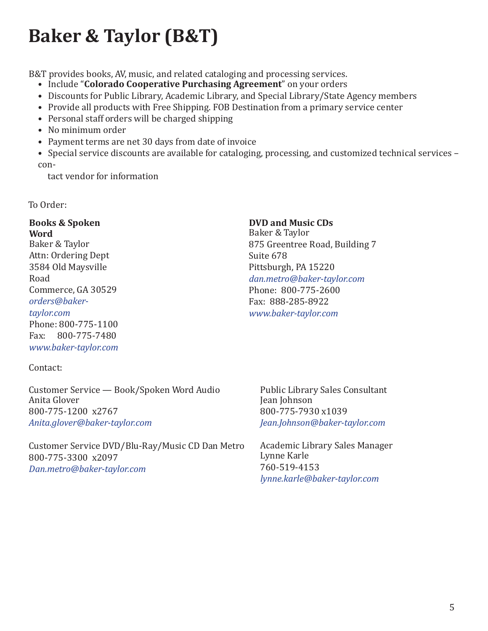### <span id="page-4-0"></span>**Baker & Taylor (B&T)**

B&T provides books, AV, music, and related cataloging and processing services.

- Include "**Colorado Cooperative Purchasing Agreement**" on your orders
- Discounts for Public Library, Academic Library, and Special Library/State Agency members
- Provide all products with Free Shipping. FOB Destination from a primary service center
- Personal staff orders will be charged shipping
- No minimum order
- Payment terms are net 30 days from date of invoice
- Special service discounts are available for cataloging, processing, and customized technical services con-

tact vendor for information

To Order:

### **Books & Spoken**

**Word** Baker & Taylor Attn: Ordering Dept 3584 Old Maysville Road Commerce, GA 30529 *[orders@baker](mailto:orders@baker-taylor.com)[taylor.com](mailto:orders@baker-taylor.com)* Phone: 800-775-1100 Fax: 800-775-7480 *[www.baker-taylor.com](http://www.baker-taylor.com/)*

### Contact:

Customer Service — Book/Spoken Word Audio Anita Glover 800-775-1200 x2767 *[Anita.glover@baker-taylor.com](mailto:Anita.glover@baker-taylor.com)*

Customer Service DVD/Blu-Ray/Music CD Dan Metro 800-775-3300 x2097 *[Dan.metro@baker-taylor.com](mailto:Dan.metro@baker-taylor.com)*

#### **DVD and Music CDs**

Baker & Taylor 875 Greentree Road, Building 7 Suite 678 Pittsburgh, PA 15220 *[dan.metro@baker-taylor.com](mailto:dan.metro@baker-taylor.com)* Phone: 800-775-2600 Fax: 888-285-8922 *[www.baker-taylor.com](http://www.baker-taylor.com/)*

Public Library Sales Consultant Jean Johnson 800-775-7930 x1039 *[Jean.Johnson@baker-taylor.com](mailto:Jean.Johnson@baker-taylor.com)*

Academic Library Sales Manager Lynne Karle 760-519-4153 *[lynne.karle@baker-taylor.com](mailto:lynne.karle@baker-taylor.com)*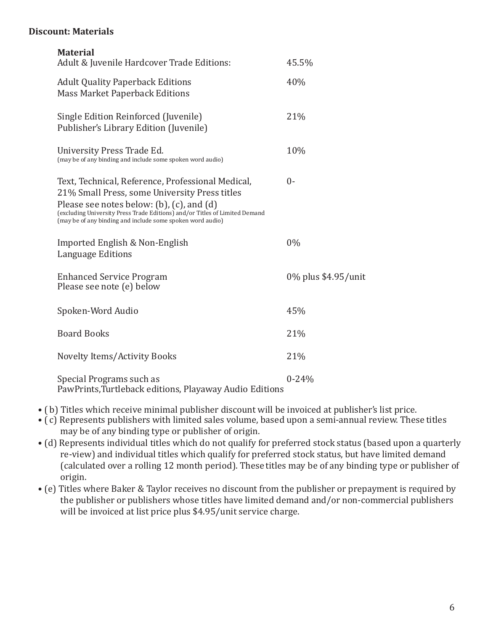#### **Discount: Materials**

| <b>Material</b>                                                                                                                                                                                                                                                                                      |                     |
|------------------------------------------------------------------------------------------------------------------------------------------------------------------------------------------------------------------------------------------------------------------------------------------------------|---------------------|
| Adult & Juvenile Hardcover Trade Editions:                                                                                                                                                                                                                                                           | 45.5%               |
| <b>Adult Quality Paperback Editions</b><br><b>Mass Market Paperback Editions</b>                                                                                                                                                                                                                     | 40%                 |
| Single Edition Reinforced (Juvenile)<br>Publisher's Library Edition (Juvenile)                                                                                                                                                                                                                       | 21%                 |
| University Press Trade Ed.<br>(may be of any binding and include some spoken word audio)                                                                                                                                                                                                             | 10%                 |
| Text, Technical, Reference, Professional Medical,<br>21% Small Press, some University Press titles<br>Please see notes below: $(b)$ , $(c)$ , and $(d)$<br>(excluding University Press Trade Editions) and/or Titles of Limited Demand<br>(may be of any binding and include some spoken word audio) | $0-$                |
| Imported English & Non-English<br>Language Editions                                                                                                                                                                                                                                                  | 0%                  |
| <b>Enhanced Service Program</b><br>Please see note (e) below                                                                                                                                                                                                                                         | 0% plus \$4.95/unit |
| Spoken-Word Audio                                                                                                                                                                                                                                                                                    | 45%                 |
| <b>Board Books</b>                                                                                                                                                                                                                                                                                   | 21%                 |
| <b>Novelty Items/Activity Books</b>                                                                                                                                                                                                                                                                  | 21%                 |
| Special Programs such as<br>PawPrints, Turtleback editions, Playaway Audio Editions                                                                                                                                                                                                                  | $0 - 24%$           |

- ( b) Titles which receive minimal publisher discount will be invoiced at publisher's list price.
- ( c) Represents publishers with limited sales volume, based upon a semi-annual review. These titles may be of any binding type or publisher of origin.
- (d) Represents individual titles which do not qualify for preferred stock status (based upon a quarterly re-view) and individual titles which qualify for preferred stock status, but have limited demand (calculated over a rolling 12 month period). These titles may be of any binding type or publisher of origin.
- (e) Titles where Baker & Taylor receives no discount from the publisher or prepayment is required by the publisher or publishers whose titles have limited demand and/or non-commercial publishers will be invoiced at list price plus \$4.95/unit service charge.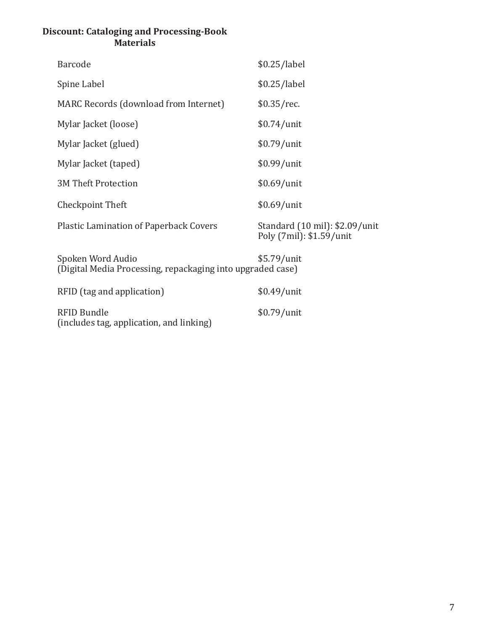### **Discount: Cataloging and Processing-Book Materials**

| Barcode                                                                         | \$0.25/label                                               |
|---------------------------------------------------------------------------------|------------------------------------------------------------|
| Spine Label                                                                     | \$0.25/label                                               |
| MARC Records (download from Internet)                                           | $$0.35$ /rec.                                              |
| Mylar Jacket (loose)                                                            | $$0.74/$ unit                                              |
| Mylar Jacket (glued)                                                            | $$0.79/$ unit                                              |
| Mylar Jacket (taped)                                                            | $$0.99/$ unit                                              |
| <b>3M Theft Protection</b>                                                      | $$0.69/$ unit                                              |
| Checkpoint Theft                                                                | $$0.69/$ unit                                              |
| <b>Plastic Lamination of Paperback Covers</b>                                   | Standard (10 mil): \$2.09/unit<br>Poly (7mil): \$1.59/unit |
| Spoken Word Audio<br>(Digital Media Processing, repackaging into upgraded case) | \$5.79/unit                                                |
| RFID (tag and application)                                                      | $$0.49/$ unit                                              |
|                                                                                 |                                                            |

RFID Bundle \$0.79/unit

(includes tag, application, and linking)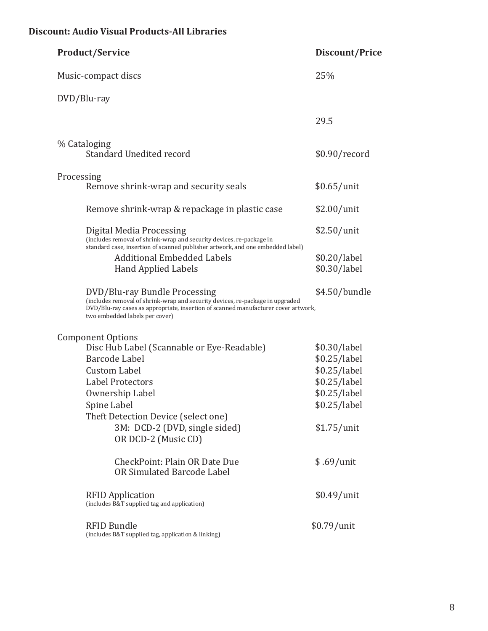### **Discount: Audio Visual Products-All Libraries**

| <b>Product/Service</b>                                                                                                                                                                                                                                                     | Discount/Price                                                                                              |
|----------------------------------------------------------------------------------------------------------------------------------------------------------------------------------------------------------------------------------------------------------------------------|-------------------------------------------------------------------------------------------------------------|
| Music-compact discs                                                                                                                                                                                                                                                        | 25%                                                                                                         |
| DVD/Blu-ray                                                                                                                                                                                                                                                                |                                                                                                             |
|                                                                                                                                                                                                                                                                            | 29.5                                                                                                        |
| % Cataloging<br>Standard Unedited record                                                                                                                                                                                                                                   | \$0.90/record                                                                                               |
| Processing<br>Remove shrink-wrap and security seals                                                                                                                                                                                                                        | \$0.65/unit                                                                                                 |
| Remove shrink-wrap & repackage in plastic case                                                                                                                                                                                                                             | $$2.00/$ unit                                                                                               |
| Digital Media Processing<br>(includes removal of shrink-wrap and security devices, re-package in<br>standard case, insertion of scanned publisher artwork, and one embedded label)                                                                                         | $$2.50/$ unit                                                                                               |
| <b>Additional Embedded Labels</b><br><b>Hand Applied Labels</b>                                                                                                                                                                                                            | \$0.20/label<br>\$0.30/label                                                                                |
| DVD/Blu-ray Bundle Processing<br>(includes removal of shrink-wrap and security devices, re-package in upgraded<br>DVD/Blu-ray cases as appropriate, insertion of scanned manufacturer cover artwork,<br>two embedded labels per cover)                                     | \$4.50/bundle                                                                                               |
| <b>Component Options</b><br>Disc Hub Label (Scannable or Eye-Readable)<br>Barcode Label<br><b>Custom Label</b><br><b>Label Protectors</b><br>Ownership Label<br>Spine Label<br>Theft Detection Device (select one)<br>3M: DCD-2 (DVD, single sided)<br>OR DCD-2 (Music CD) | \$0.30/label<br>\$0.25/label<br>\$0.25/label<br>\$0.25/label<br>\$0.25/label<br>\$0.25/label<br>\$1.75/unit |
| CheckPoint: Plain OR Date Due<br>OR Simulated Barcode Label                                                                                                                                                                                                                | $$.69/$ unit                                                                                                |
| <b>RFID Application</b><br>(includes B&T supplied tag and application)                                                                                                                                                                                                     | $$0.49/$ unit                                                                                               |
| <b>RFID Bundle</b><br>(includes B&T supplied tag, application & linking)                                                                                                                                                                                                   | \$0.79/unit                                                                                                 |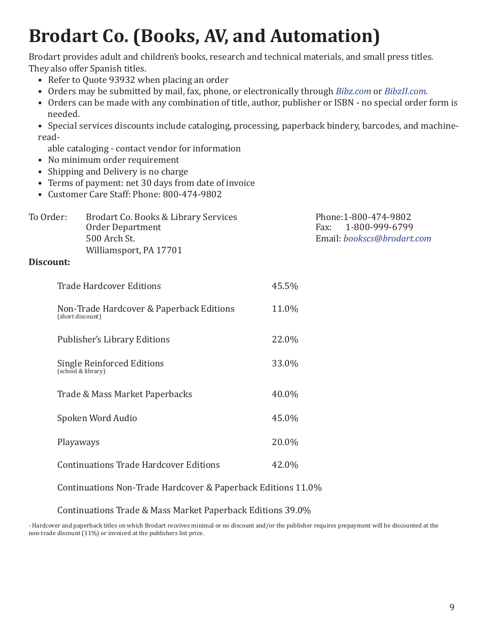### <span id="page-8-0"></span>**Brodart Co. (Books, AV, and Automation)**

Brodart provides adult and children's books, research and technical materials, and small press titles. They also offer Spanish titles.

- Refer to Quote 93932 when placing an order
- Orders may be submitted by mail, fax, phone, or electronically through *Bibz.com* or *BibzII.com*.
- Orders can be made with any combination of title, author, publisher or ISBN no special order form is needed.

• Special services discounts include cataloging, processing, paperback bindery, barcodes, and machineread-

able cataloging - contact vendor for information

- No minimum order requirement
- Shipping and Delivery is no charge
- Terms of payment: net 30 days from date of invoice
- Customer Care Staff: Phone: 800-474-9802

| To Order: | Brodart Co. Books & Library Services<br>Order Department | Phone:1-800-474-9802<br>Fax: 1-800-999-6799 |
|-----------|----------------------------------------------------------|---------------------------------------------|
|           |                                                          |                                             |
|           | 500 Arch St.                                             | Email: bookscs@brodart.com                  |
|           | Williamsport, PA 17701                                   |                                             |
| Discount: |                                                          |                                             |

### Trade Hardcover Editions **45.5%** Non-Trade Hardcover & Paperback Editions 11.0% (short discount) Publisher's Library Editions 22.0% Single Reinforced Editions 33.0% (school & library) Trade & Mass Market Paperbacks 40.0%

Spoken Word Audio 45.0% Playaways 20.0% Continuations Trade Hardcover Editions 42.0%

Continuations Non-Trade Hardcover & Paperback Editions 11.0%

Continuations Trade & Mass Market Paperback Editions 39.0%

- Hardcover and paperback titles on which Brodart receives minimal or no discount and/or the publisher requires prepayment will be discounted at the non-trade discount (11%) or invoiced at the publishers list price.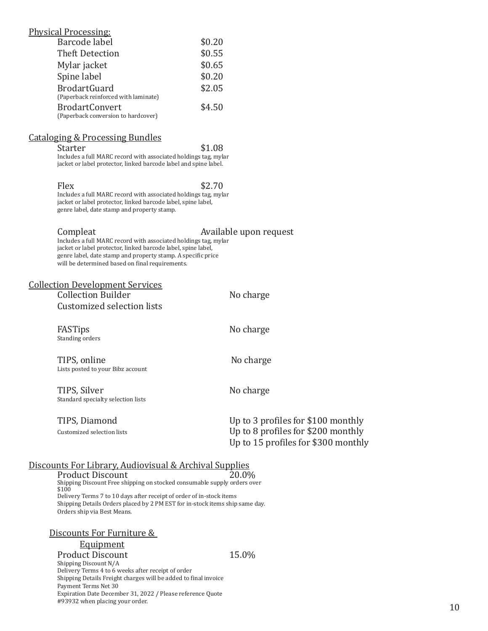| <b>Physical Processing:</b>          |        |
|--------------------------------------|--------|
| Barcode label                        | \$0.20 |
| <b>Theft Detection</b>               | \$0.55 |
| Mylar jacket                         | \$0.65 |
| Spine label                          | \$0.20 |
| <b>BrodartGuard</b>                  | \$2.05 |
| (Paperback reinforced with laminate) |        |
| <b>BrodartConvert</b>                | \$4.50 |
| (Paperback conversion to hardcover)  |        |
|                                      |        |

#### Cataloging & Processing Bundles

| Starter                                                          | \$1.08 |
|------------------------------------------------------------------|--------|
| Includes a full MARC record with associated holdings tag, mylar  |        |
| jacket or label protector, linked barcode label and spine label. |        |

Flex  $$2.70$ Includes a full MARC record with associated holdings tag, mylar jacket or label protector, linked barcode label, spine label, genre label, date stamp and property stamp.

Compleat **Available upon request** 

Includes a full MARC record with associated holdings tag, mylar jacket or label protector, linked barcode label, spine label, genre label, date stamp and property stamp. A specific price will be determined based on final requirements.

#### Collection Development Services Collection Builder No charge Customized selection lists

FASTips No charge Standing orders

TIPS, online No charge Lists posted to your Bibz account

TIPS, Silver No charge Standard specialty selection lists

| TIPS, Diamond              | Up to 3 profiles for \$100 monthly  |  |
|----------------------------|-------------------------------------|--|
| Customized selection lists | Up to 8 profiles for $$200$ monthly |  |
|                            | Up to 15 profiles for \$300 monthly |  |

### Discounts For Library, Audiovisual & Archival Supplies

Product Discount 20.0% Shipping Discount Free shipping on stocked consumable supply orders over \$100 Delivery Terms 7 to 10 days after receipt of order of in-stock items Shipping Details Orders placed by 2 PM EST for in-stock items ship same day. Orders ship via Best Means.

#### Discounts For Furniture &

#### **Equipment**

Product Discount 15.0% Shipping Discount N/A Delivery Terms 4 to 6 weeks after receipt of order Shipping Details Freight charges will be added to final invoice Payment Terms Net 30 Expiration Date December 31, 2022 / Please reference Quote #93932 when placing your order.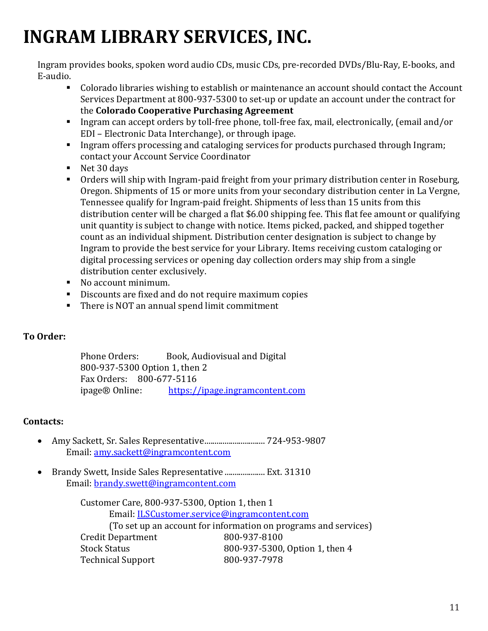### <span id="page-10-0"></span>**INGRAM LIBRARY SERVICES, INC.**

Ingram provides books, spoken word audio CDs, music CDs, pre-recorded DVDs/Blu-Ray, E-books, and E-audio.

- Colorado libraries wishing to establish or maintenance an account should contact the Account Services Department at 800-937-5300 to set-up or update an account under the contract for the **Colorado Cooperative Purchasing Agreement**
- Ingram can accept orders by toll-free phone, toll-free fax, mail, electronically, (email and/or EDI – Electronic Data Interchange), or through ipage.
- **Ingram offers processing and cataloging services for products purchased through Ingram;** contact your Account Service Coordinator
- Net 30 days
- Orders will ship with Ingram-paid freight from your primary distribution center in Roseburg, Oregon. Shipments of 15 or more units from your secondary distribution center in La Vergne, Tennessee qualify for Ingram-paid freight. Shipments of less than 15 units from this distribution center will be charged a flat \$6.00 shipping fee. This flat fee amount or qualifying unit quantity is subject to change with notice. Items picked, packed, and shipped together count as an individual shipment. Distribution center designation is subject to change by Ingram to provide the best service for your Library. Items receiving custom cataloging or digital processing services or opening day collection orders may ship from a single distribution center exclusively.
- No account minimum.
- Discounts are fixed and do not require maximum copies
- There is NOT an annual spend limit commitment

### **To Order:**

Phone Orders: Book, Audiovisual and Digital 800-937-5300 Option 1, then 2 Fax Orders:  $800-677-5116$ <br>ipage® Online: https:// [https://ipage.ingramcontent.com](https://ipage.ingramcontent.com/)

### **Contacts:**

- Amy Sackett, Sr. Sales Representative................................... 724-953-9807 Email: amy.sackett@ingramcontent.com
- Brandy Swett, Inside Sales Representative .................... Ext. 31310 Email: [brandy.swett@ingramcontent.com](mailto:brandy.swett@ingramcontent.com)

Customer Care, 800-937-5300, Option 1, then 1 Email: [ILSCustomer.service@ingramcontent.com](mailto:ILSCustomer.service@ingramcontent.com) (To set up an account for information on programs and services)<br>Department 800-937-8100 Credit Department<br>Stock Status 800-937-5300, Option 1, then 4<br>800-937-7978 Technical Support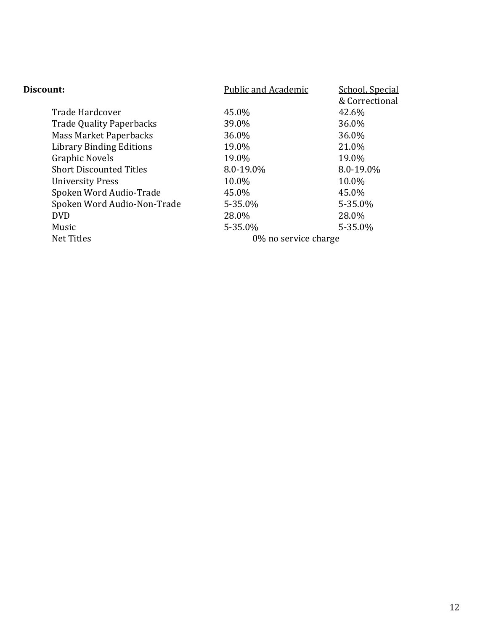| <b>Public and Academic</b> | School, Special |
|----------------------------|-----------------|
|                            | & Correctional  |
| 45.0%                      | 42.6%           |
| 39.0%                      | 36.0%           |
| 36.0%                      | 36.0%           |
| 19.0%                      | 21.0%           |
| 19.0%                      | 19.0%           |
| 8.0-19.0%                  | 8.0-19.0%       |
| 10.0%                      | 10.0%           |
| 45.0%                      | 45.0%           |
| 5-35.0%                    | 5-35.0%         |
| 28.0%                      | 28.0%           |
| 5-35.0%                    | $5 - 35.0\%$    |
| 0% no service charge       |                 |
|                            |                 |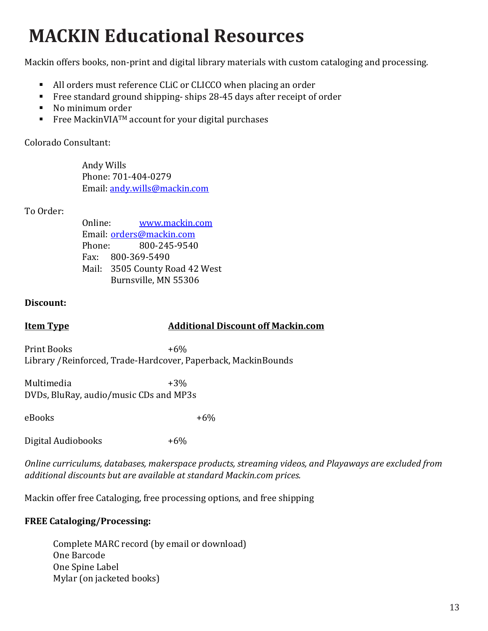### <span id="page-12-0"></span>**MACKIN Educational Resources**

Mackin offers books, non-print and digital library materials with custom cataloging and processing.

- All orders must reference CLiC or CLICCO when placing an order
- Free standard ground shipping-ships 28-45 days after receipt of order
- No minimum order
- Free MackinVIA<sup>TM</sup> account for your digital purchases

Colorado Consultant:

Andy Wills Phone: 701-404-0279 Email: [andy.wills@mackin.com](mailto:andy.wills@mackin.com)

### To Order:

Online: [www.mackin.com](http://www.mackin.com/) Email: <u>orders@mackin.com</u><br>Phone: 800-245-9540 Phone: 800-245-9540 Fax: 800-369-5490 Mail: 3505 County Road 42 West Burnsville, MN 55306

### **Discount:**

#### **Item Type Additional Discount off Mackin.com**

Print Books  $+6\%$ Library /Reinforced, Trade-Hardcover, Paperback, MackinBounds

Multimedia +3% DVDs, BluRay, audio/music CDs and MP3s

eBooks  $+6\%$ 

Digital Audiobooks +6%

*Online curriculums, databases, makerspace products, streaming videos, and Playaways are excluded from additional discounts but are available at standard Mackin.com prices.*

Mackin offer free Cataloging, free processing options, and free shipping

### **FREE Cataloging/Processing:**

Complete MARC record (by email or download) One Barcode One Spine Label Mylar (on jacketed books)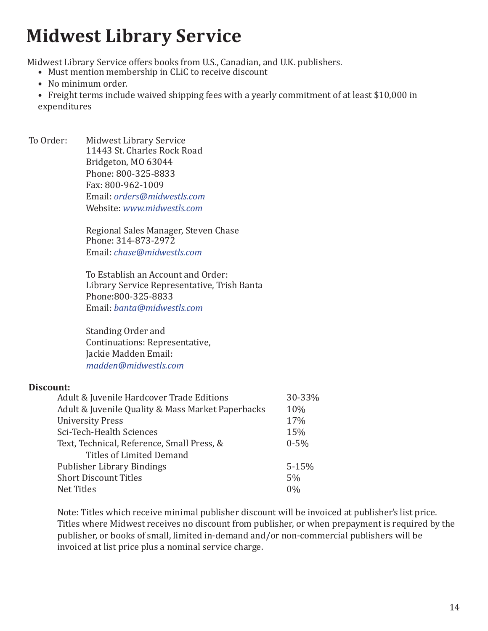### <span id="page-13-0"></span>**Midwest Library Service**

Midwest Library Service offers books from U.S., Canadian, and U.K. publishers.

- Must mention membership in CLiC to receive discount
- No minimum order.
- Freight terms include waived shipping fees with a yearly commitment of at least \$10,000 in expenditures
- To Order: Midwest Library Service 11443 St. Charles Rock Road Bridgeton, MO 63044 Phone: 800-325-8833 Fax: 800-962-1009 Email: *[orders@midwestls.com](mailto:orders@midwestls.com)* Website: *[www.midwestls.com](http://www.midwestls.com/)*

Regional Sales Manager, Steven Chase Phone: 314-873-2972 Email: *[chase@midwestls.com](mailto:chase@midwestls.com)*

To Establish an Account and Order: Library Service Representative, Trish Banta Phone:800-325-8833 Email: *[banta@midwestls.com](mailto:banta@midwestls.com)*

Standing Order and Continuations: Representative, Jackie Madden Email: *[madden@midwestls.com](mailto:madden@midwestls.com)*

### **Discount:**

| Adult & Juvenile Hardcover Trade Editions         | 30-33%    |
|---------------------------------------------------|-----------|
| Adult & Juvenile Quality & Mass Market Paperbacks | 10%       |
| <b>University Press</b>                           | 17%       |
| Sci-Tech-Health Sciences                          | 15%       |
| Text, Technical, Reference, Small Press, &        | $0 - 5\%$ |
| <b>Titles of Limited Demand</b>                   |           |
| <b>Publisher Library Bindings</b>                 | $5 - 15%$ |
| <b>Short Discount Titles</b>                      | 5%        |
| Net Titles                                        | $0\%$     |
|                                                   |           |

Note: Titles which receive minimal publisher discount will be invoiced at publisher's list price. Titles where Midwest receives no discount from publisher, or when prepayment is required by the publisher, or books of small, limited in-demand and/or non-commercial publishers will be invoiced at list price plus a nominal service charge.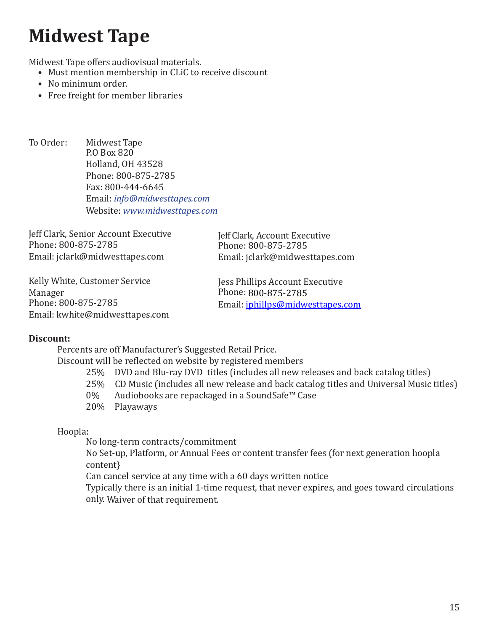### <span id="page-14-0"></span>**Midwest Tape**

Midwest Tape offers audiovisual materials.

- Must mention membership in CLiC to receive discount
- No minimum order.
- Free freight for member libraries
- To Order: Midwest Tape P.O Box 820 Holland, OH 43528 Phone: 800-875-2785 Fax: 800-444-6645 Email: *[info@midwesttapes.com](mailto:info@midwesttapes.com)* Website: *[www.midwesttapes.com](http://www.midwesttapes.com/)*

Jeff Clark, Senior Account Executive Phone: 800-875-2785 Ema[il: jclark@midwesttapes.com](mailto:jclark@midwesttapes.com)

Jeff Clark, Account Executive Phone: 800-875-2785 Email: jclark@midwesttapes.com

Kelly White, Customer Service Manager Phone: 800-875-2785 Ema[il: kwhite@midwesttapes.com](mailto:kwhite@midwesttapes.com) Jess Phillips Account Executive Phone: 800-875-2785 Email[: jphillps@midwesttapes.com](mailto:jphillps@midwesttapes.com)

### **Discount:**

Percents are off Manufacturer's Suggested Retail Price.

Discount will be reflected on website by registered members

- 25% DVD and Blu-ray DVD titles (includes all new releases and back catalog titles)
- $25\%$  CD Music (includes all new release and back catalog titles and Universal Music titles)<br>0% Audiobooks are repackaged in a SoundSafe™ Case
- Audiobooks are repackaged in a SoundSafe™ Case
- 20% Playaways

Hoopla:

No long-term contracts/commitment

No Set-up, Platform, or Annual Fees or content transfer fees (for next generation hoopla content}

Can cancel service at any time with a 60 days written notice

Typically there is an initial 1-time request, that never expires, and goes toward circulations only. Waiver of that requirement.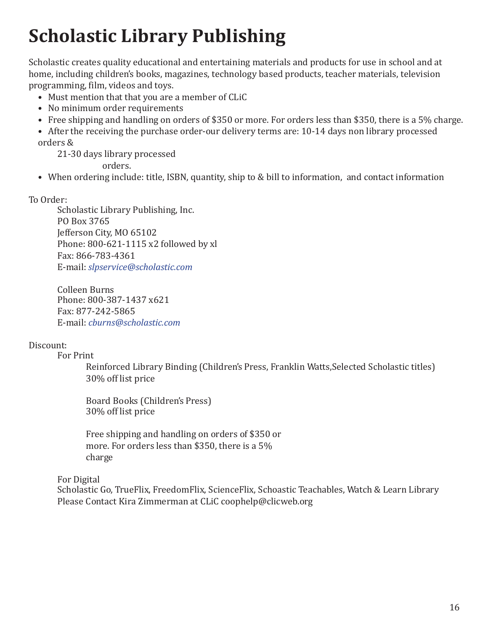## <span id="page-15-0"></span>**Scholastic Library Publishing**

Scholastic creates quality educational and entertaining materials and products for use in school and at home, including children's books, magazines, technology based products, teacher materials, television programming, film, videos and toys.

- Must mention that that you are a member of CLiC
- No minimum order requirements
- Free shipping and handling on orders of \$350 or more. For orders less than \$350, there is a 5% charge.
- After the receiving the purchase order-our delivery terms are: 10-14 days non library processed orders &

21-30 days library processed

orders.

• When ordering include: title, ISBN, quantity, ship to & bill to information, and contact information

To Order:

Scholastic Library Publishing, Inc. PO Box 3765 Jefferson City, MO 65102 Phone: 800-621-1115 x2 followed by xl Fax: 866-783-4361 E-mail: *[slpservice@scholastic.com](mailto:slpservice@scholastic.com)*

Colleen Burns Phone: 800-387-1437 x621 Fax: 877-242-5865 E-mail: *[cburns@scholastic.com](mailto:cburns@scholastic.com)*

### Discount:

#### For Print

Reinforced Library Binding (Children's Press, Franklin Watts,Selected Scholastic titles) 30% off list price

Board Books (Children's Press) 30% off list price

Free shipping and handling on orders of \$350 or more. For orders less than \$350, there is a 5% charge

For Digital

Scholastic Go, TrueFlix, FreedomFlix, ScienceFlix, Schoastic Teachables, Watch & Learn Library Please Contact Kira Zimmerman at C[LiC coophelp@clicweb.org](mailto:coophelp@clicweb.org)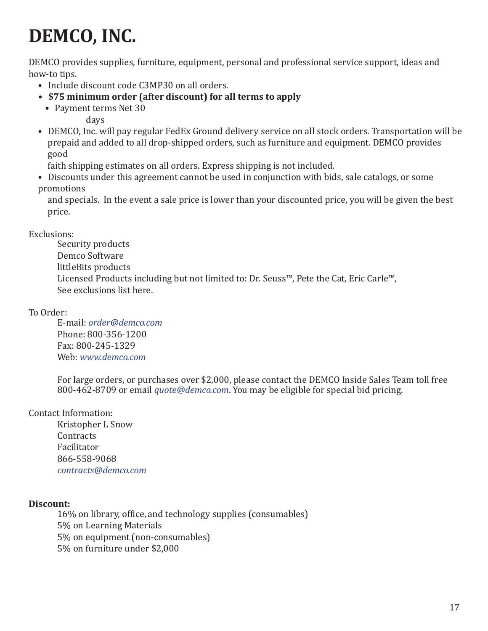## <span id="page-16-0"></span>**DEMCO, INC.**

DEMCO provides supplies, furniture, equipment, personal and professional service support, ideas and how-to tips.

- Include discount code C3MP30 on all orders.
- **\$75 minimum order (after discount) for all terms to apply**
	- Payment terms Net 30

days

• DEMCO, Inc. will pay regular FedEx Ground delivery service on all stock orders. Transportation will be prepaid and added to all drop-shipped orders, such as furniture and equipment. DEMCO provides good

faith shipping estimates on all orders. Express shipping is not included.

• Discounts under this agreement cannot be used in conjunction with bids, sale catalogs, or some promotions

and specials. In the event a sale price is lower than your discounted price, you will be given the best price.

### Exclusions:

Security products Demco Software littleBits products Licensed Products including but not limited to: Dr. Seuss™, Pete the Cat, Eric Carle™, See exclusions list here.

### To Order:

E-mail: *[order@demco.com](mailto:order@demco.com)* Phone: 800-356-1200 Fax: 800-245-1329 Web: *[www.demco.com](http://www.demco.com/)*

For large orders, or purchases over \$2,000, please contact the DEMCO Inside Sales Team toll free 800-462-8709 or email *[quote@demco.com](mailto:quote@demco.com)*. You may be eligible for special bid pricing.

### Contact Information:

Kristopher L Snow **Contracts** Facilitator 866-558-9068 *[contracts@demco.com](mailto:contracts@demco.com)*

### **Discount:**

16% on library, office, and technology supplies (consumables) 5% on Learning Materials 5% on equipment (non-consumables) 5% on furniture under \$2,000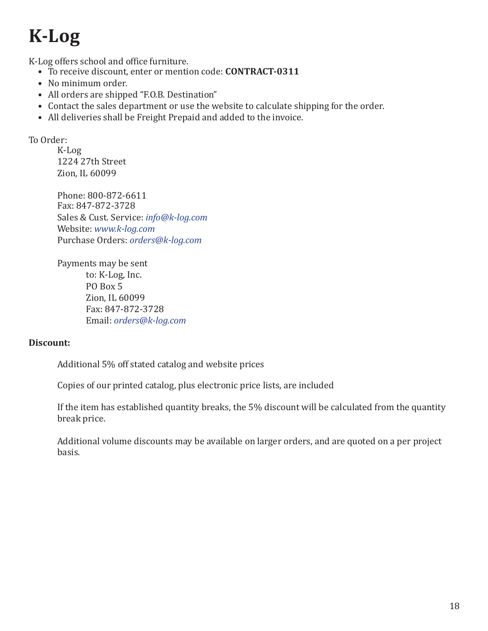# <span id="page-17-0"></span>**K-Log**

K-Log offers school and office furniture.

- To receive discount, enter or mention code: **CONTRACT-0311**
- No minimum order.
- All orders are shipped "F.O.B. Destination"
- Contact the sales department or use the website to calculate shipping for the order.
- All deliveries shall be Freight Prepaid and added to the invoice.

To Order:

K-Log 1224 27th Street Zion, IL 60099

Phone: 800-872-6611 Fax: 847-872-3728 Sales & Cust. Service: *[info@k-log.com](mailto:info@k-log.com)* Website: *[www.k-log.com](http://www.k-log.com/)* Purchase Orders: *[orders@k-log.com](mailto:orders@k-log.com)*

Payments may be sent to: K-Log, Inc. PO Box 5 Zion, IL 60099 Fax: 847-872-3728 Email: *[orders@k-log.com](mailto:orders@k-log.com)*

### **Discount:**

Additional 5% off stated catalog and website prices

Copies of our printed catalog, plus electronic price lists, are included

If the item has established quantity breaks, the 5% discount will be calculated from the quantity break price.

Additional volume discounts may be available on larger orders, and are quoted on a per project basis.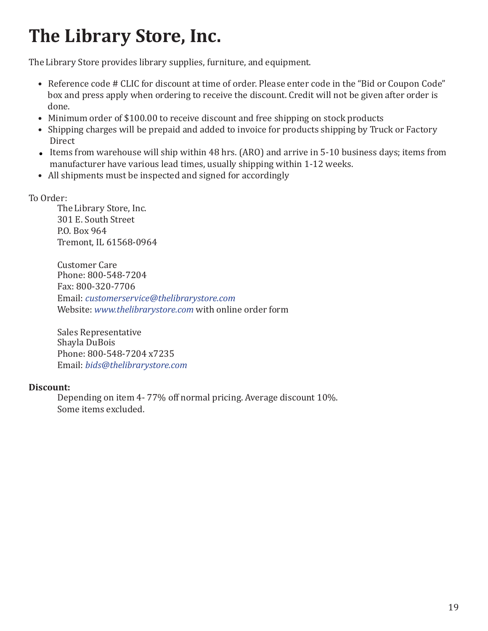### <span id="page-18-0"></span>**The Library Store, Inc.**

The Library Store provides library supplies, furniture, and equipment.

- Reference code # CLIC for discount at time of order. Please enter code in the "Bid or Coupon Code" box and press apply when ordering to receive the discount. Credit will not be given after order is done.
- Minimum order of \$100.00 to receive discount and free shipping on stock products
- Shipping charges will be prepaid and added to invoice for products shipping by Truck or Factory Direct
- Items from warehouse will ship within 48 hrs. (ARO) and arrive in 5-10 business days; items from manufacturer have various lead times, usually shipping within 1-12 weeks.
- All shipments must be inspected and signed for accordingly

### To Order:

The Library Store, Inc. 301 E. South Street P.O. Box 964 Tremont, IL 61568-0964

Customer Care Phone: 800-548-7204 Fax: 800-320-7706 Email: *[customerservice@thelibrarystore.com](mailto:customerservice@thelibrarystore.com)* Website: *[www.thelibrarystore.com](http://www.thelibrarystore.com/)* with online order form

Sales Representative Shayla DuBois Phone: 800-548-7204 x7235 Email: *[bids@thelibrarystore.com](mailto:bids@thelibrarystore.com)*

### **Discount:**

Depending on item 4- 77% off normal pricing. Average discount 10%. Some items excluded.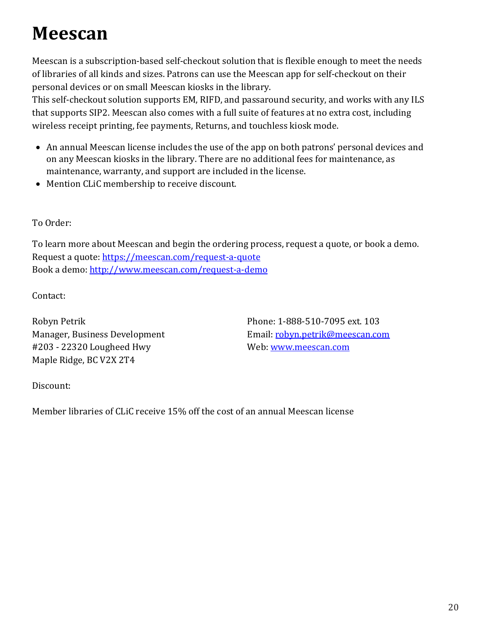### <span id="page-19-0"></span>**Meescan**

Meescan is a subscription-based self-checkout solution that is flexible enough to meet the needs of libraries of all kinds and sizes. Patrons can use the Meescan app for self-checkout on their personal devices or on small Meescan kiosks in the library.

This self-checkout solution supports EM, RIFD, and passaround security, and works with any ILS that supports SIP2. Meescan also comes with a full suite of features at no extra cost, including wireless receipt printing, fee payments, Returns, and touchless kiosk mode.

- An annual Meescan license includes the use of the app on both patrons' personal devices and on any Meescan kiosks in the library. There are no additional fees for maintenance, as maintenance, warranty, and support are included in the license.
- Mention CLiC membership to receive discount.

To Order:

To learn more about Meescan and begin the ordering process, request a quote, or book a demo. Request a quote:<https://meescan.com/request-a-quote> Book a demo:<http://www.meescan.com/request-a-demo>

Contact:

Robyn Petrik Manager, Business Development #203 - 22320 Lougheed Hwy Maple Ridge, BC V2X 2T4

Phone: 1-888-510-7095 ext. 103 Email[: robyn.petrik@meescan.com](mailto:robyn.petrik@meescan.com) Web: [www.meescan.com](http://www.meescan.com/)

Discount:

Member libraries of CLiC receive 15% off the cost of an annual Meescan license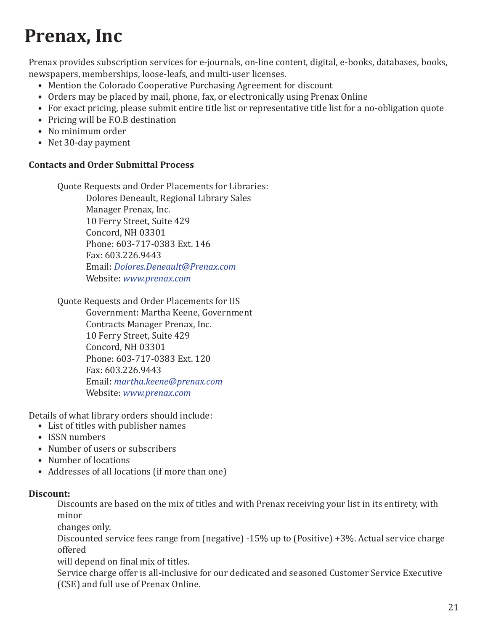### <span id="page-20-0"></span>**Prenax, Inc**

Prenax provides subscription services for e-journals, on-line content, digital, e-books, databases, books, newspapers, memberships, loose-leafs, and multi-user licenses.

- Mention the Colorado Cooperative Purchasing Agreement for discount
- Orders may be placed by mail, phone, fax, or electronically using Prenax Online
- For exact pricing, please submit entire title list or representative title list for a no-obligation quote
- Pricing will be F.O.B destination
- No minimum order
- Net 30-day payment

### **Contacts and Order Submittal Process**

Quote Requests and Order Placements for Libraries: Dolores Deneault, Regional Library Sales Manager Prenax, Inc. 10 Ferry Street, Suite 429 Concord, NH 03301 Phone: 603-717-0383 Ext. 146 Fax: 603.226.9443 Email: *[Dolores.Deneault@Prenax.com](mailto:Dolores.Deneault@Prenax.com)* Website: *[www.prenax.com](http://www.prenax.com/)*

#### Quote Requests and Order Placements for US

Government: Martha Keene, Government Contracts Manager Prenax, Inc. 10 Ferry Street, Suite 429 Concord, NH 03301 Phone: 603-717-0383 Ext. 120 Fax: 603.226.9443 Email: *[martha.keene@prenax.com](mailto:martha.keene@prenax.com)* Website: *[www.prenax.com](http://www.prenax.com/)*

Details of what library orders should include:

- List of titles with publisher names
- ISSN numbers
- Number of users or subscribers
- Number of locations
- Addresses of all locations (if more than one)

#### **Discount:**

Discounts are based on the mix of titles and with Prenax receiving your list in its entirety, with minor

changes only.

Discounted service fees range from (negative) -15% up to (Positive) +3%. Actual service charge offered

will depend on final mix of titles.

Service charge offer is all-inclusive for our dedicated and seasoned Customer Service Executive (CSE) and full use of Prenax Online.